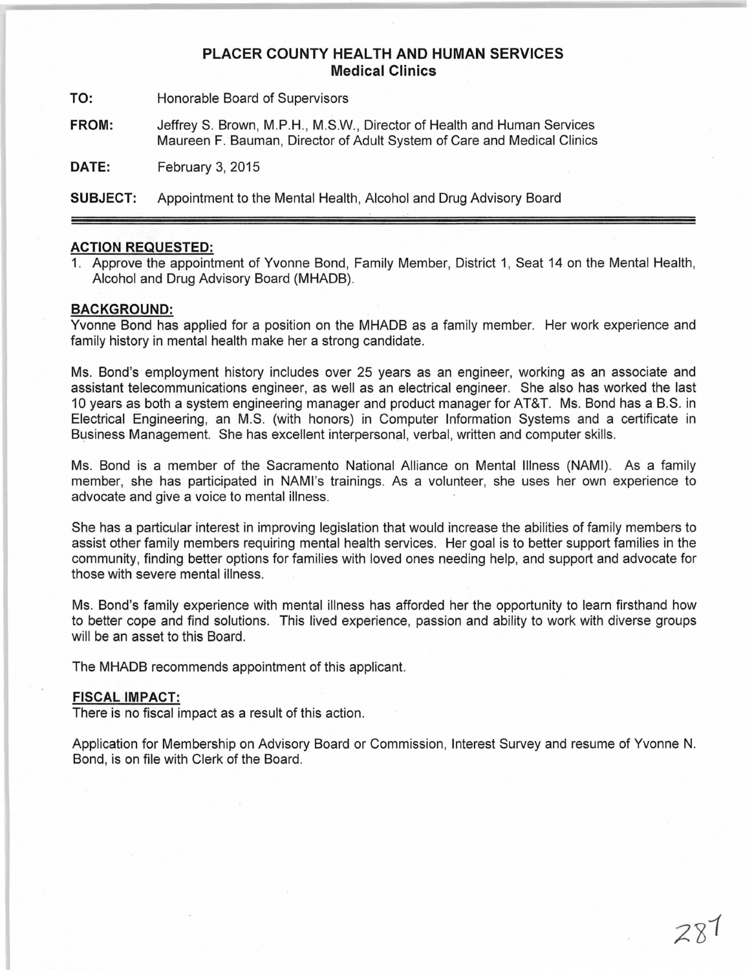## **PLACER COUNTY HEALTH AND HUMAN SERVICES Medical Clinics**

**TO:** Honorable Board of Supervisors

**FROM:** Jeffrey S. Brown, M.P.H., M.S.W., Director of Health and Human Services Maureen F. Bauman, Director of Adult System of Care and Medical Clinics

**DATE:** February 3, 2015

**SUBJECT:** Appointment to the Mental Health, Alcohol and Drug Advisory Board

## **ACTION REQUESTED:**

1. Approve the appointment of Yvonne Bond, Family Member, District 1, Seat 14 on the Mental Health, Alcohol and Drug Advisory Board (MHADB).

## **BACKGROUND:**

Yvonne Bond has applied for a position on the MHADB as a family member. Her work experience and family history in mental health make her a strong candidate.

Ms. Bond's employment history includes over 25 years as an engineer, working as an associate and assistant telecommunications engineer, as well as an electrical engineer. She also has worked the last 10 years as both a system engineering manager and product manager for AT&T. Ms. Bond has a B.S. in Electrical Engineering, an M.S. (with honors) in Computer Information Systems and a certificate in Business Management. She has excellent interpersonal, verbal, written and computer skills.

Ms. Bond is a member of the Sacramento National Alliance on Mental Illness (NAMI). As a family member, she has participated in NAMI's trainings. As a volunteer, she uses her own experience to advocate and give a voice to mental illness.

She has a particular interest in improving legislation that would increase the abilities of family members to assist other family members requiring mental health services. Her goal is to better support families in the community, finding better options for families with loved ones needing help, and support and advocate for those with severe mental illness.

Ms. Bond's family experience with mental illness has afforded her the opportunity to learn firsthand how to better cope and find solutions. This lived experience, passion and ability to work with diverse groups will be an asset to this Board.

The MHADB recommends appointment of this applicant.

## **FISCAL IMPACT:**

There is no fiscal impact as a result of this action.

Application for Membership on Advisory Board or Commission, Interest Survey and resume of Yvonne N. Bond, is on file with Clerk of the Board.